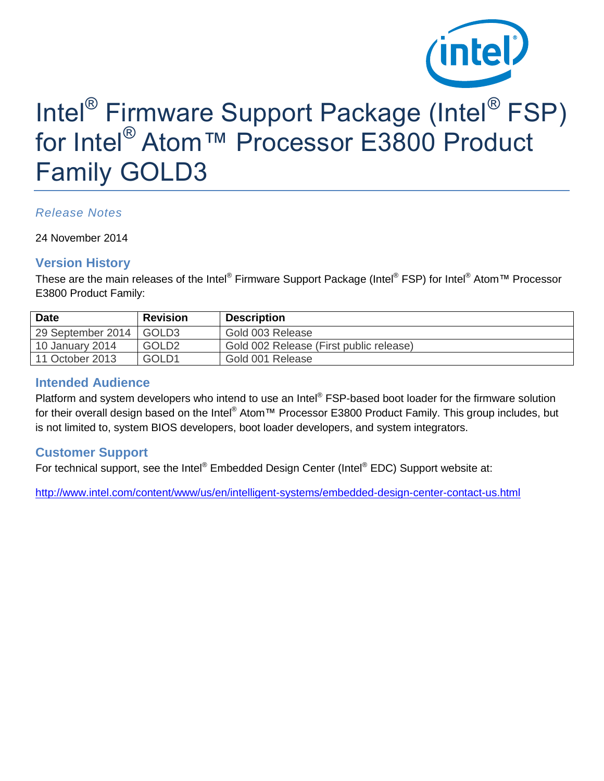

# Intel<sup>®</sup> Firmware Support Package (Intel<sup>®</sup> FSP) for Intel® Atom™ Processor E3800 Product Family GOLD3

#### *Release Notes*

24 November 2014

#### **Version History**

These are the main releases of the Intel® Firmware Support Package (Intel® FSP) for Intel® Atom™ Processor E3800 Product Family:

| <b>Date</b>       | <b>Revision</b>   | <b>Description</b>                      |
|-------------------|-------------------|-----------------------------------------|
| 29 September 2014 | GOLD3             | Gold 003 Release                        |
| 10 January 2014   | GOLD <sub>2</sub> | Gold 002 Release (First public release) |
| 11 October 2013   | GOLD <sub>1</sub> | Gold 001 Release                        |

#### **Intended Audience**

Platform and system developers who intend to use an Intel® FSP-based boot loader for the firmware solution for their overall design based on the Intel® Atom™ Processor E3800 Product Family. This group includes, but is not limited to, system BIOS developers, boot loader developers, and system integrators.

#### **Customer Support**

For technical support, see the Intel® Embedded Design Center (Intel® EDC) Support website at:

<http://www.intel.com/content/www/us/en/intelligent-systems/embedded-design-center-contact-us.html>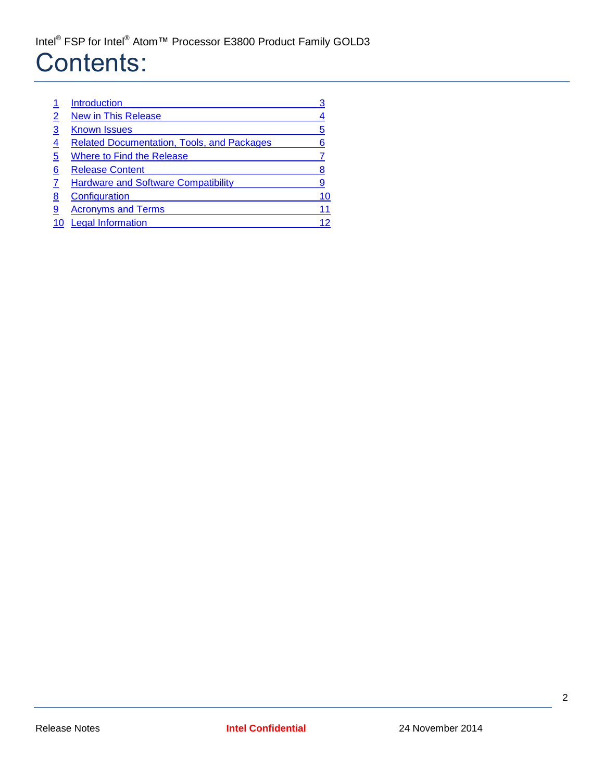# Contents:

| 5                                                      |
|--------------------------------------------------------|
| <b>Related Documentation, Tools, and Packages</b><br>6 |
|                                                        |
| 8                                                      |
| <b>Hardware and Software Compatibility</b><br>9        |
| 10                                                     |
|                                                        |
| 12                                                     |
|                                                        |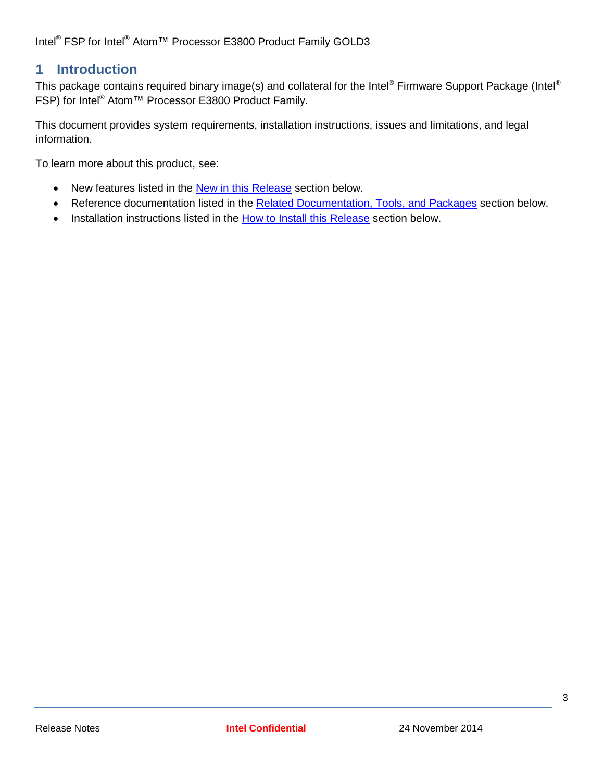### <span id="page-2-0"></span>**1 Introduction**

This package contains required binary image(s) and collateral for the Intel® Firmware Support Package (Intel® FSP) for Intel® Atom™ Processor E3800 Product Family.

This document provides system requirements, installation instructions, issues and limitations, and legal information.

To learn more about this product, see:

- New features listed in the [New in this Release](#page-3-0) section below.
- Reference documentation listed in the [Related Documentation,](#page-5-0) Tools, and Packages section below.
- Installation instructions listed in the [How to Install this Release](#page-6-1) section below.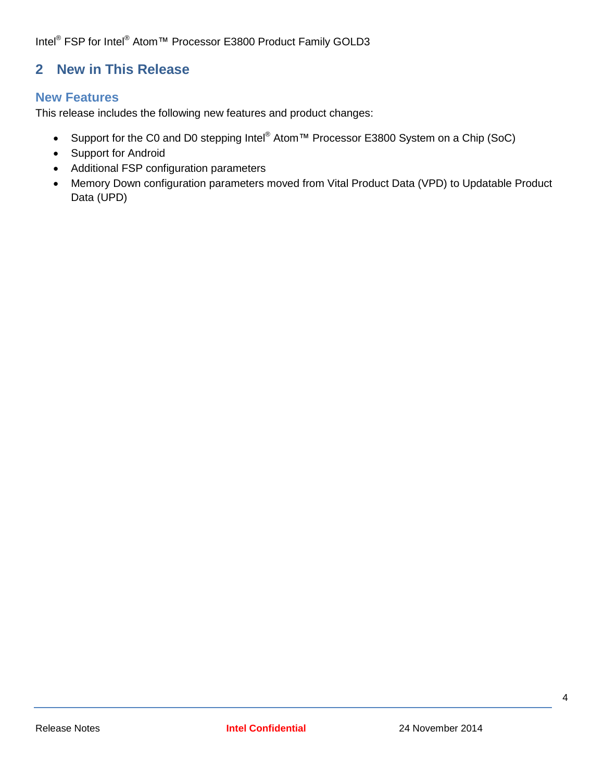## <span id="page-3-0"></span>**2 New in This Release**

#### **New Features**

This release includes the following new features and product changes:

- Support for the C0 and D0 stepping Intel<sup>®</sup> Atom™ Processor E3800 System on a Chip (SoC)
- Support for Android
- Additional FSP configuration parameters
- Memory Down configuration parameters moved from Vital Product Data (VPD) to Updatable Product Data (UPD)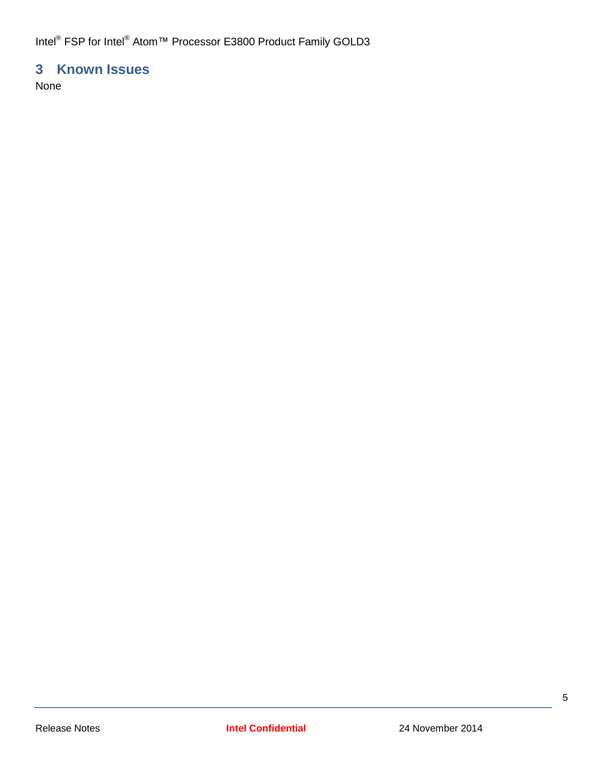## <span id="page-4-0"></span>**3 Known Issues**

None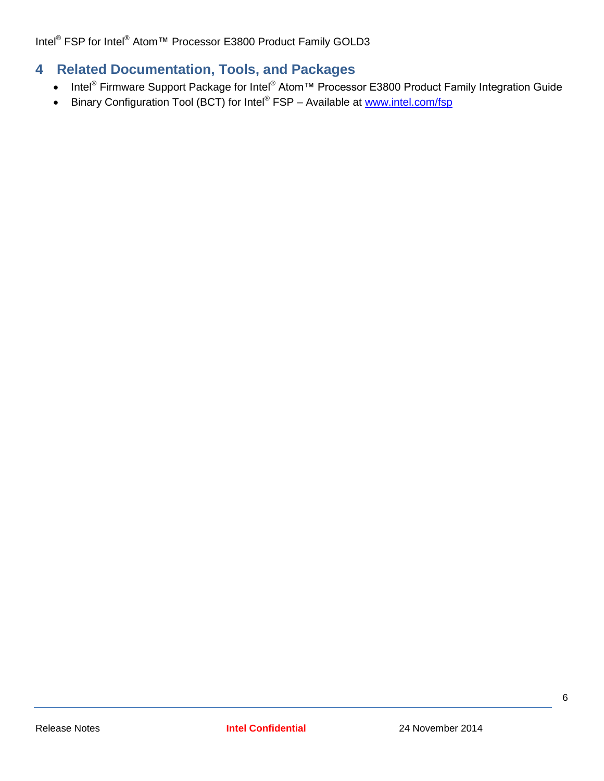# <span id="page-5-0"></span>**4 Related Documentation, Tools, and Packages**

- Intel<sup>®</sup> Firmware Support Package for Intel<sup>®</sup> Atom<sup>™</sup> Processor E3800 Product Family Integration Guide
- Binary Configuration Tool (BCT) for Intel® FSP Available at [www.intel.com/fsp](http://www.intel.com/fsp)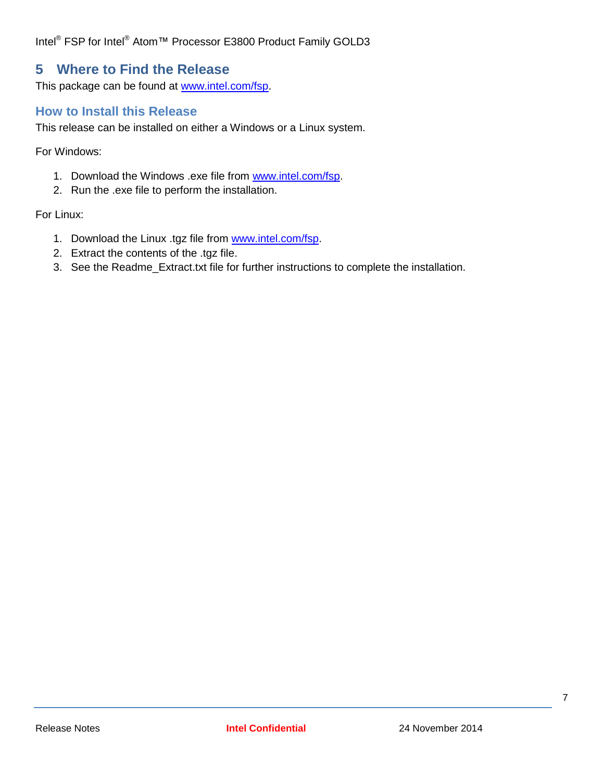### <span id="page-6-0"></span>**5 Where to Find the Release**

This package can be found at [www.intel.com/fsp.](http://www.intel.com/fsp)

#### <span id="page-6-1"></span>**How to Install this Release**

This release can be installed on either a Windows or a Linux system.

For Windows:

- 1. Download the Windows .exe file from [www.intel.com/fsp.](http://www.intel.com/fsp)
- 2. Run the .exe file to perform the installation.

For Linux:

- 1. Download the Linux .tgz file from [www.intel.com/fsp.](http://www.intel.com/fsp)
- 2. Extract the contents of the .tgz file.
- 3. See the Readme\_Extract.txt file for further instructions to complete the installation.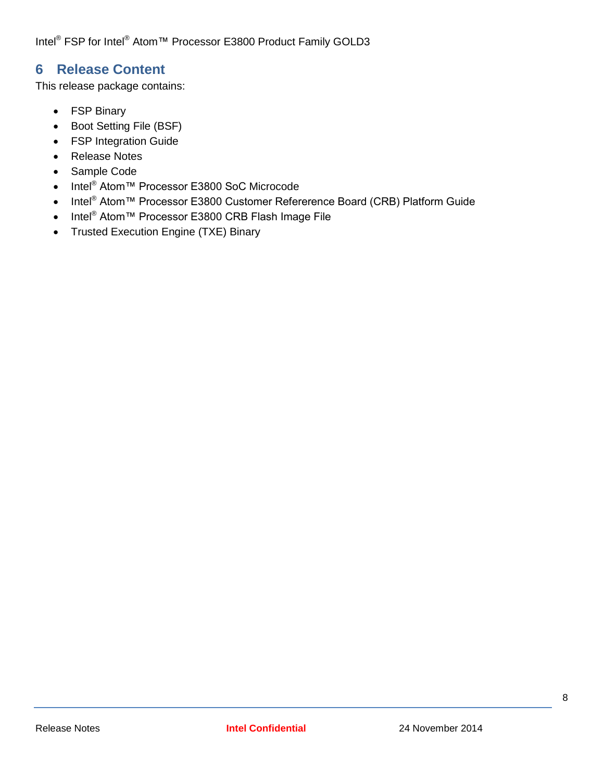## <span id="page-7-0"></span>**6 Release Content**

This release package contains:

- FSP Binary
- Boot Setting File (BSF)
- FSP Integration Guide
- Release Notes
- Sample Code
- Intel<sup>®</sup> Atom™ Processor E3800 SoC Microcode
- Intel<sup>®</sup> Atom™ Processor E3800 Customer Refererence Board (CRB) Platform Guide
- Intel<sup>®</sup> Atom™ Processor E3800 CRB Flash Image File
- Trusted Execution Engine (TXE) Binary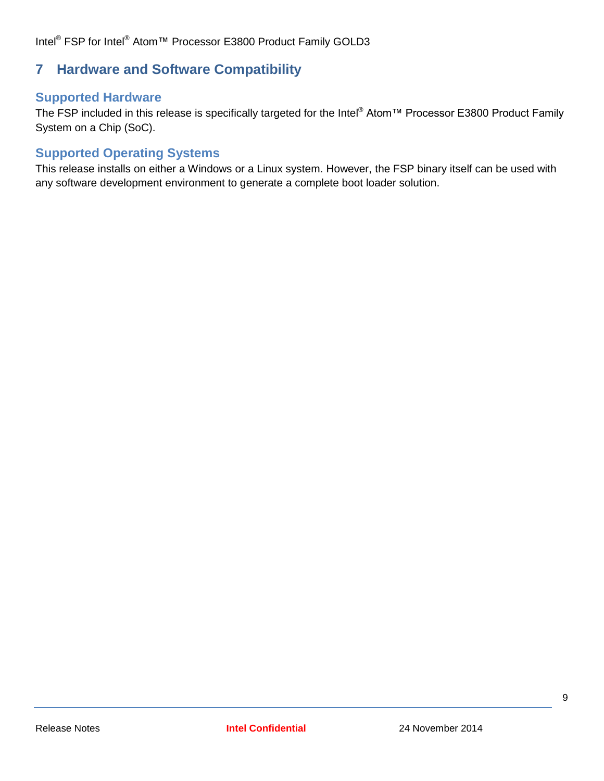## <span id="page-8-0"></span>**7 Hardware and Software Compatibility**

#### **Supported Hardware**

The FSP included in this release is specifically targeted for the Intel® Atom™ Processor E3800 Product Family System on a Chip (SoC).

#### **Supported Operating Systems**

This release installs on either a Windows or a Linux system. However, the FSP binary itself can be used with any software development environment to generate a complete boot loader solution.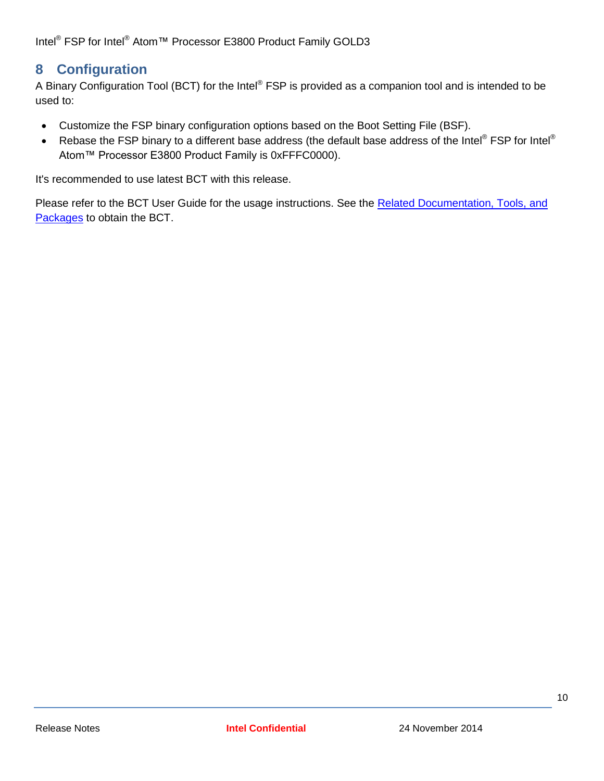## <span id="page-9-0"></span>**8 Configuration**

A Binary Configuration Tool (BCT) for the Intel® FSP is provided as a companion tool and is intended to be used to:

- Customize the FSP binary configuration options based on the Boot Setting File (BSF).
- Rebase the FSP binary to a different base address (the default base address of the Intel® FSP for Intel® Atom™ Processor E3800 Product Family is 0xFFFC0000).

It's recommended to use latest BCT with this release.

Please refer to the BCT User Guide for the usage instructions. See the Related Documentation, Tools, and [Packages](#page-5-0) to obtain the BCT.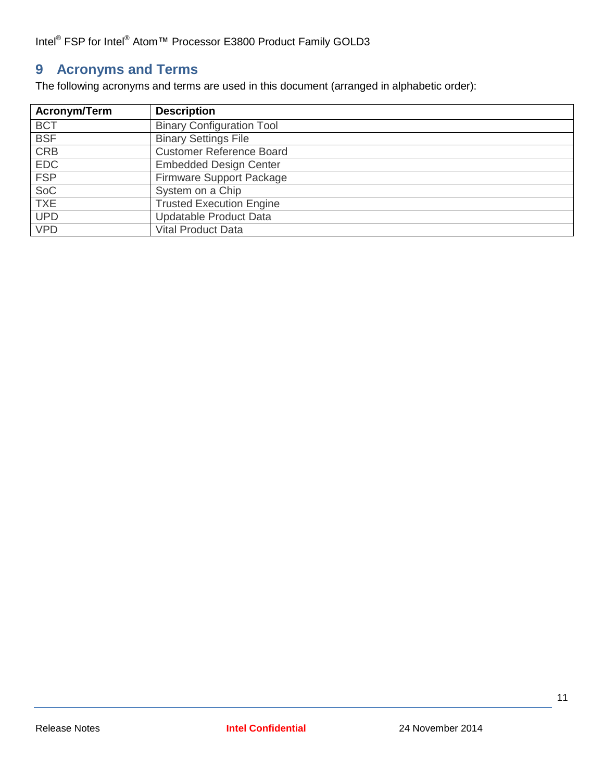# <span id="page-10-0"></span>**9 Acronyms and Terms**

The following acronyms and terms are used in this document (arranged in alphabetic order):

| Acronym/Term | <b>Description</b>               |  |
|--------------|----------------------------------|--|
| <b>BCT</b>   | <b>Binary Configuration Tool</b> |  |
| <b>BSF</b>   | <b>Binary Settings File</b>      |  |
| <b>CRB</b>   | <b>Customer Reference Board</b>  |  |
| <b>EDC</b>   | <b>Embedded Design Center</b>    |  |
| <b>FSP</b>   | Firmware Support Package         |  |
| SoC          | System on a Chip                 |  |
| <b>TXE</b>   | <b>Trusted Execution Engine</b>  |  |
| <b>UPD</b>   | <b>Updatable Product Data</b>    |  |
| <b>VPD</b>   | <b>Vital Product Data</b>        |  |